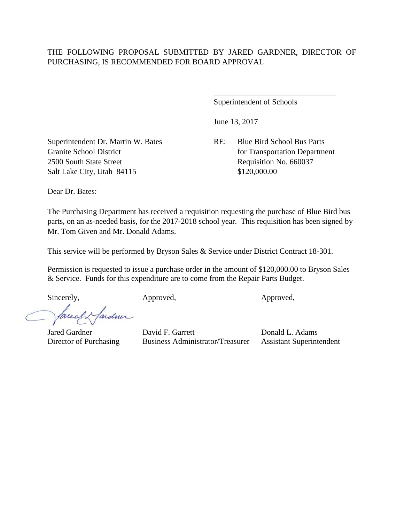Superintendent of Schools

June 13, 2017

Granite School District for Transportation Department

\_\_\_\_\_\_\_\_\_\_\_\_\_\_\_\_\_\_\_\_\_\_\_\_\_\_\_\_\_\_\_

Superintendent Dr. Martin W. Bates RE: Blue Bird School Bus Parts 2500 South State Street Requisition No. 660037 Salt Lake City, Utah 84115 \$120,000.00

Dear Dr. Bates:

The Purchasing Department has received a requisition requesting the purchase of Blue Bird bus parts, on an as-needed basis, for the 2017-2018 school year. This requisition has been signed by Mr. Tom Given and Mr. Donald Adams.

This service will be performed by Bryson Sales & Service under District Contract 18-301.

Permission is requested to issue a purchase order in the amount of \$120,000.00 to Bryson Sales & Service. Funds for this expenditure are to come from the Repair Parts Budget.

Sincerely, Approved, Approved, Approved,

facely farden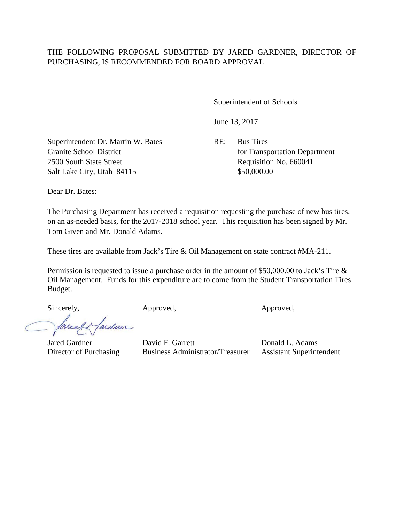Superintendent of Schools

June 13, 2017

Superintendent Dr. Martin W. Bates RE: Bus Tires Granite School District for Transportation Department 2500 South State Street Requisition No. 660041 Salt Lake City, Utah 84115 \$50,000.00

\_\_\_\_\_\_\_\_\_\_\_\_\_\_\_\_\_\_\_\_\_\_\_\_\_\_\_\_\_\_\_\_

Dear Dr. Bates:

The Purchasing Department has received a requisition requesting the purchase of new bus tires, on an as-needed basis, for the 2017-2018 school year. This requisition has been signed by Mr. Tom Given and Mr. Donald Adams.

These tires are available from Jack's Tire & Oil Management on state contract #MA-211.

Permission is requested to issue a purchase order in the amount of \$50,000.00 to Jack's Tire & Oil Management. Funds for this expenditure are to come from the Student Transportation Tires Budget.

Sincerely, Approved, Approved, Approved, Approved,

arden facel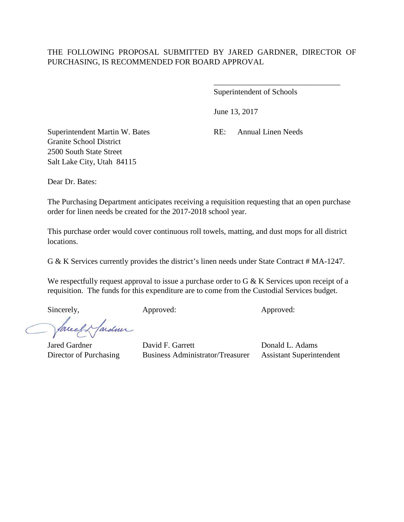\_\_\_\_\_\_\_\_\_\_\_\_\_\_\_\_\_\_\_\_\_\_\_\_\_\_\_\_\_\_\_\_

June 13, 2017

Granite School District 2500 South State Street Salt Lake City, Utah 84115

Superintendent Martin W. Bates RE: Annual Linen Needs

Dear Dr. Bates:

The Purchasing Department anticipates receiving a requisition requesting that an open purchase order for linen needs be created for the 2017-2018 school year.

This purchase order would cover continuous roll towels, matting, and dust mops for all district locations.

G & K Services currently provides the district's linen needs under State Contract # MA-1247.

We respectfully request approval to issue a purchase order to G & K Services upon receipt of a requisition. The funds for this expenditure are to come from the Custodial Services budget.

Sincerely, Approved: Approved: Approved: Approved:

facely farden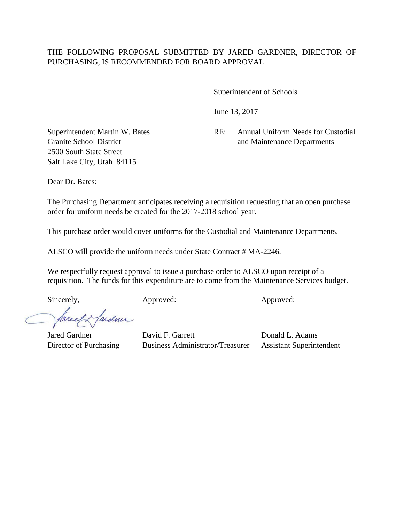June 13, 2017

2500 South State Street Salt Lake City, Utah 84115

Superintendent Martin W. Bates RE: Annual Uniform Needs for Custodial Granite School District and Maintenance Departments

\_\_\_\_\_\_\_\_\_\_\_\_\_\_\_\_\_\_\_\_\_\_\_\_\_\_\_\_\_\_\_\_\_

Dear Dr. Bates:

The Purchasing Department anticipates receiving a requisition requesting that an open purchase order for uniform needs be created for the 2017-2018 school year.

This purchase order would cover uniforms for the Custodial and Maintenance Departments.

ALSCO will provide the uniform needs under State Contract # MA-2246.

We respectfully request approval to issue a purchase order to ALSCO upon receipt of a requisition. The funds for this expenditure are to come from the Maintenance Services budget.

Sincerely, Approved: Approved: Approved: Approved:

facely farden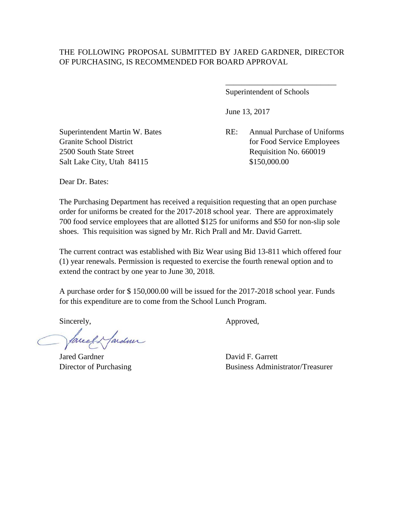Superintendent of Schools

\_\_\_\_\_\_\_\_\_\_\_\_\_\_\_\_\_\_\_\_\_\_\_\_\_\_\_\_

June 13, 2017

Granite School District for Food Service Employees

Superintendent Martin W. Bates RE: Annual Purchase of Uniforms 2500 South State Street Requisition No. 660019 Salt Lake City, Utah 84115 \$150,000.00

Dear Dr. Bates:

The Purchasing Department has received a requisition requesting that an open purchase order for uniforms be created for the 2017-2018 school year. There are approximately 700 food service employees that are allotted \$125 for uniforms and \$50 for non-slip sole shoes. This requisition was signed by Mr. Rich Prall and Mr. David Garrett.

The current contract was established with Biz Wear using Bid 13-811 which offered four (1) year renewals. Permission is requested to exercise the fourth renewal option and to extend the contract by one year to June 30, 2018.

A purchase order for \$ 150,000.00 will be issued for the 2017-2018 school year. Funds for this expenditure are to come from the School Lunch Program.

facely farden

Jared Gardner David F. Garrett

Sincerely,  $\qquad \qquad \text{Approved},$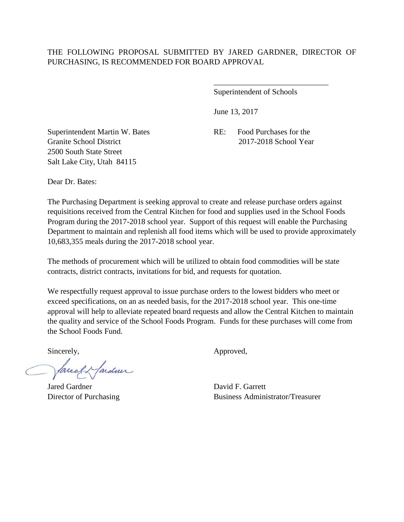\_\_\_\_\_\_\_\_\_\_\_\_\_\_\_\_\_\_\_\_\_\_\_\_\_\_\_\_\_

June 13, 2017

Granite School District 2017-2018 School Year 2500 South State Street Salt Lake City, Utah 84115

Superintendent Martin W. Bates RE: Food Purchases for the

Dear Dr. Bates:

The Purchasing Department is seeking approval to create and release purchase orders against requisitions received from the Central Kitchen for food and supplies used in the School Foods Program during the 2017-2018 school year. Support of this request will enable the Purchasing Department to maintain and replenish all food items which will be used to provide approximately 10,683,355 meals during the 2017-2018 school year.

The methods of procurement which will be utilized to obtain food commodities will be state contracts, district contracts, invitations for bid, and requests for quotation.

We respectfully request approval to issue purchase orders to the lowest bidders who meet or exceed specifications, on an as needed basis, for the 2017-2018 school year. This one-time approval will help to alleviate repeated board requests and allow the Central Kitchen to maintain the quality and service of the School Foods Program. Funds for these purchases will come from the School Foods Fund.

facely farden

Jared Gardner David F. Garrett

Sincerely,  $\qquad \qquad \text{Approved},$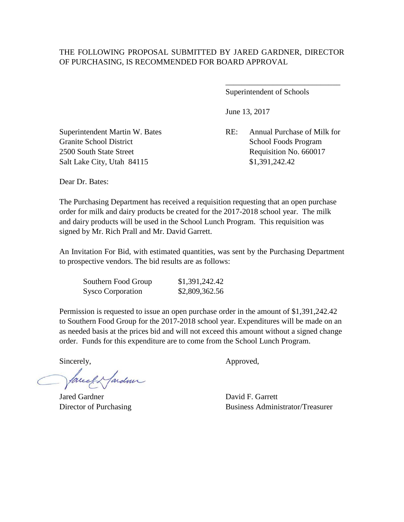Superintendent of Schools

June 13, 2017

\_\_\_\_\_\_\_\_\_\_\_\_\_\_\_\_\_\_\_\_\_\_\_\_\_\_\_\_\_

Superintendent Martin W. Bates RE: Annual Purchase of Milk for Granite School District School Foods Program 2500 South State Street Requisition No. 660017 Salt Lake City, Utah 84115 \$1,391,242.42

Dear Dr. Bates:

The Purchasing Department has received a requisition requesting that an open purchase order for milk and dairy products be created for the 2017-2018 school year. The milk and dairy products will be used in the School Lunch Program. This requisition was signed by Mr. Rich Prall and Mr. David Garrett.

An Invitation For Bid, with estimated quantities, was sent by the Purchasing Department to prospective vendors. The bid results are as follows:

| Southern Food Group      | \$1,391,242.42 |
|--------------------------|----------------|
| <b>Sysco Corporation</b> | \$2,809,362.56 |

Permission is requested to issue an open purchase order in the amount of \$1,391,242.42 to Southern Food Group for the 2017-2018 school year. Expenditures will be made on an as needed basis at the prices bid and will not exceed this amount without a signed change order. Funds for this expenditure are to come from the School Lunch Program.

facely farden

Jared Gardner David F. Garrett

Sincerely,  $\Delta$ pproved,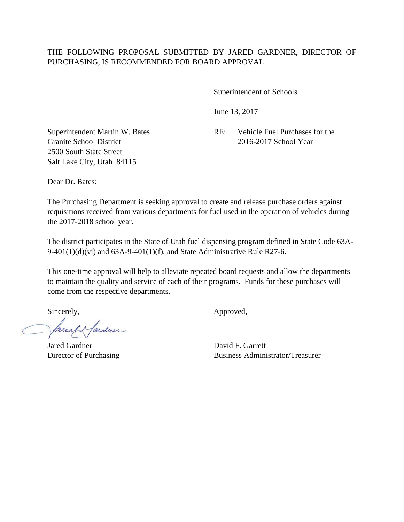June 13, 2017

Granite School District 2016-2017 School Year 2500 South State Street Salt Lake City, Utah 84115

Superintendent Martin W. Bates RE: Vehicle Fuel Purchases for the

\_\_\_\_\_\_\_\_\_\_\_\_\_\_\_\_\_\_\_\_\_\_\_\_\_\_\_\_\_\_\_

Dear Dr. Bates:

The Purchasing Department is seeking approval to create and release purchase orders against requisitions received from various departments for fuel used in the operation of vehicles during the 2017-2018 school year.

The district participates in the State of Utah fuel dispensing program defined in State Code 63A- $9-401(1)(d)(vi)$  and  $63A-9-401(1)(f)$ , and State Administrative Rule R27-6.

This one-time approval will help to alleviate repeated board requests and allow the departments to maintain the quality and service of each of their programs. Funds for these purchases will come from the respective departments.

faceef & fardner

Jared Gardner David F. Garrett

Sincerely,  $\qquad \qquad \text{Approved},$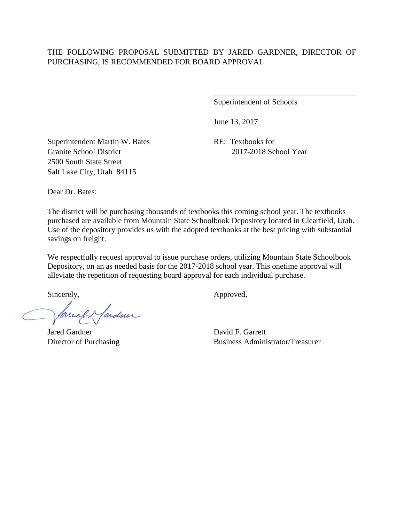Superintendent of Schools

\_\_\_\_\_\_\_\_\_\_\_\_\_\_\_\_\_\_\_\_\_\_\_\_\_\_\_\_\_\_\_\_\_\_\_\_

June 13, 2017

Superintendent Martin W. Bates RE: Textbooks for Granite School District 2017-2018 School Year 2500 South State Street Salt Lake City, Utah 84115

Dear Dr. Bates:

The district will be purchasing thousands of textbooks this coming school year. The textbooks purchased are available from Mountain State Schoolbook Depository located in Clearfield, Utah. Use of the depository provides us with the adopted textbooks at the best pricing with substantial savings on freight.

We respectfully request approval to issue purchase orders, utilizing Mountain State Schoolbook Depository, on an as needed basis for the 2017-2018 school year. This onetime approval will alleviate the repetition of requesting board approval for each individual purchase.

facely farden

Jared Gardner David F. Garrett

Sincerely,  $\qquad \qquad \text{Approved},$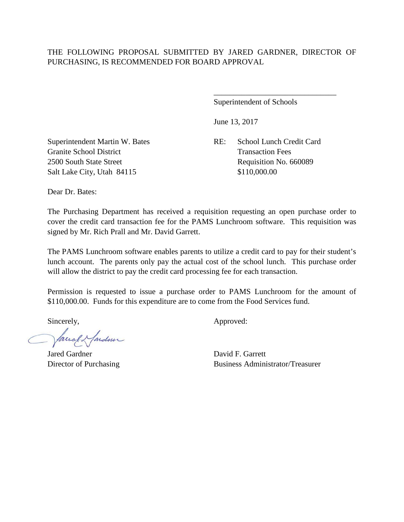Superintendent of Schools

June 13, 2017

Superintendent Martin W. Bates RE: School Lunch Credit Card Granite School District Transaction Fees 2500 South State Street Requisition No. 660089 Salt Lake City, Utah 84115 \$110,000.00

\_\_\_\_\_\_\_\_\_\_\_\_\_\_\_\_\_\_\_\_\_\_\_\_\_\_\_\_\_\_\_

Dear Dr. Bates:

The Purchasing Department has received a requisition requesting an open purchase order to cover the credit card transaction fee for the PAMS Lunchroom software. This requisition was signed by Mr. Rich Prall and Mr. David Garrett.

The PAMS Lunchroom software enables parents to utilize a credit card to pay for their student's lunch account. The parents only pay the actual cost of the school lunch. This purchase order will allow the district to pay the credit card processing fee for each transaction.

Permission is requested to issue a purchase order to PAMS Lunchroom for the amount of \$110,000.00. Funds for this expenditure are to come from the Food Services fund.

facel Hardner

Jared Gardner David F. Garrett

Sincerely,  $\qquad \qquad \text{Approved:}$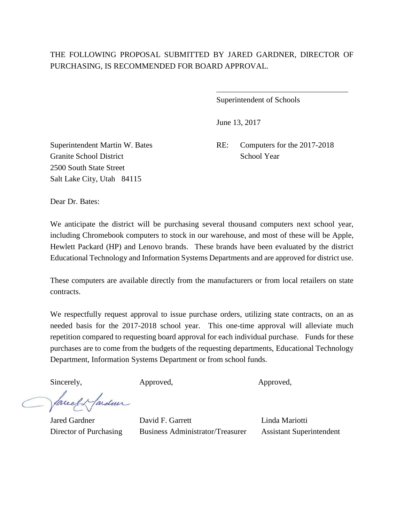$\overline{a}$ 

Superintendent of Schools

June 13, 2017

Granite School District School Year 2500 South State Street Salt Lake City, Utah 84115

Superintendent Martin W. Bates RE: Computers for the 2017-2018

Dear Dr. Bates:

We anticipate the district will be purchasing several thousand computers next school year, including Chromebook computers to stock in our warehouse, and most of these will be Apple, Hewlett Packard (HP) and Lenovo brands. These brands have been evaluated by the district Educational Technology and Information Systems Departments and are approved for district use.

These computers are available directly from the manufacturers or from local retailers on state contracts.

We respectfully request approval to issue purchase orders, utilizing state contracts, on an as needed basis for the 2017-2018 school year. This one-time approval will alleviate much repetition compared to requesting board approval for each individual purchase. Funds for these purchases are to come from the budgets of the requesting departments, Educational Technology Department, Information Systems Department or from school funds.

Sincerely, Approved, Approved, Approved,

facely farder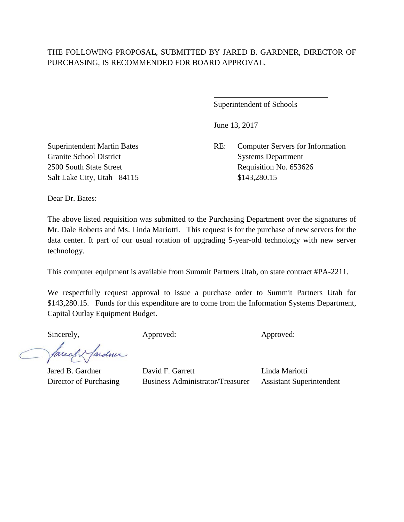$\overline{a}$ 

Superintendent of Schools

June 13, 2017

Superintendent Martin Bates RE: Computer Servers for Information 2500 South State Street Requisition No. 653626

Granite School District Systems Department Salt Lake City, Utah 84115 \$143,280.15

Dear Dr. Bates:

The above listed requisition was submitted to the Purchasing Department over the signatures of Mr. Dale Roberts and Ms. Linda Mariotti. This request is for the purchase of new servers for the data center. It part of our usual rotation of upgrading 5-year-old technology with new server technology.

This computer equipment is available from Summit Partners Utah, on state contract #PA-2211.

We respectfully request approval to issue a purchase order to Summit Partners Utah for \$143,280.15. Funds for this expenditure are to come from the Information Systems Department, Capital Outlay Equipment Budget.

Sincerely, Approved: Approved: Approved: Approved:

facel Hardmir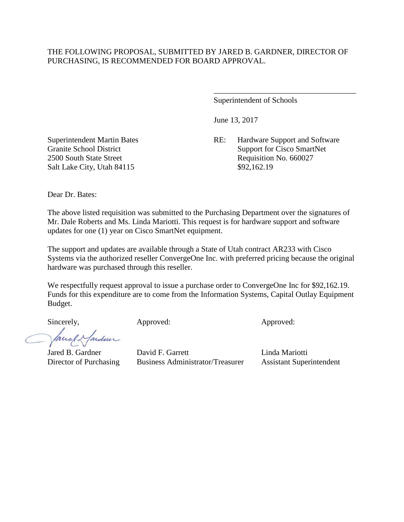Superintendent of Schools

June 13, 2017

Superintendent Martin Bates RE: Hardware Support and Software Granite School District Support for Cisco SmartNet 2500 South State Street Requisition No. 660027

\_\_\_\_\_\_\_\_\_\_\_\_\_\_\_\_\_\_\_\_\_\_\_\_\_\_\_\_\_\_\_\_\_\_\_\_

Salt Lake City, Utah 84115 \$92,162.19

Dear Dr. Bates:

The above listed requisition was submitted to the Purchasing Department over the signatures of Mr. Dale Roberts and Ms. Linda Mariotti. This request is for hardware support and software updates for one (1) year on Cisco SmartNet equipment.

The support and updates are available through a State of Utah contract AR233 with Cisco Systems via the authorized reseller ConvergeOne Inc. with preferred pricing because the original hardware was purchased through this reseller.

We respectfully request approval to issue a purchase order to ConvergeOne Inc for \$92,162.19. Funds for this expenditure are to come from the Information Systems, Capital Outlay Equipment Budget.

facel. fardun

Sincerely,  $\qquad \qquad \text{Approved:}$   $\qquad \qquad \text{Approved:}$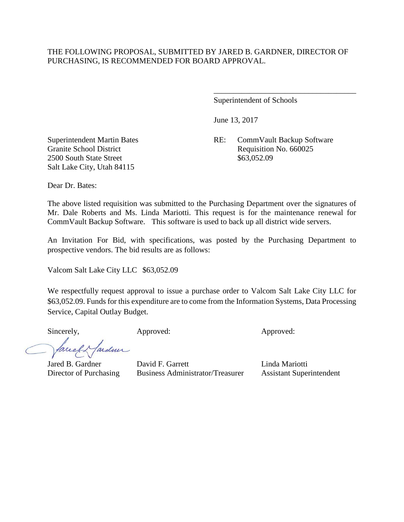Superintendent of Schools

June 13, 2017

Superintendent Martin Bates RE: CommVault Backup Software Granite School District Requisition No. 660025

\_\_\_\_\_\_\_\_\_\_\_\_\_\_\_\_\_\_\_\_\_\_\_\_\_\_\_\_\_\_\_\_\_\_\_\_

2500 South State Street \$63,052.09 Salt Lake City, Utah 84115

Dear Dr. Bates:

The above listed requisition was submitted to the Purchasing Department over the signatures of Mr. Dale Roberts and Ms. Linda Mariotti. This request is for the maintenance renewal for CommVault Backup Software. This software is used to back up all district wide servers.

An Invitation For Bid, with specifications, was posted by the Purchasing Department to prospective vendors. The bid results are as follows:

Valcom Salt Lake City LLC \$63,052.09

We respectfully request approval to issue a purchase order to Valcom Salt Lake City LLC for \$63,052.09. Funds for this expenditure are to come from the Information Systems, Data Processing Service, Capital Outlay Budget.

Sincerely, Approved: Approved: Approved:

ardmi facel